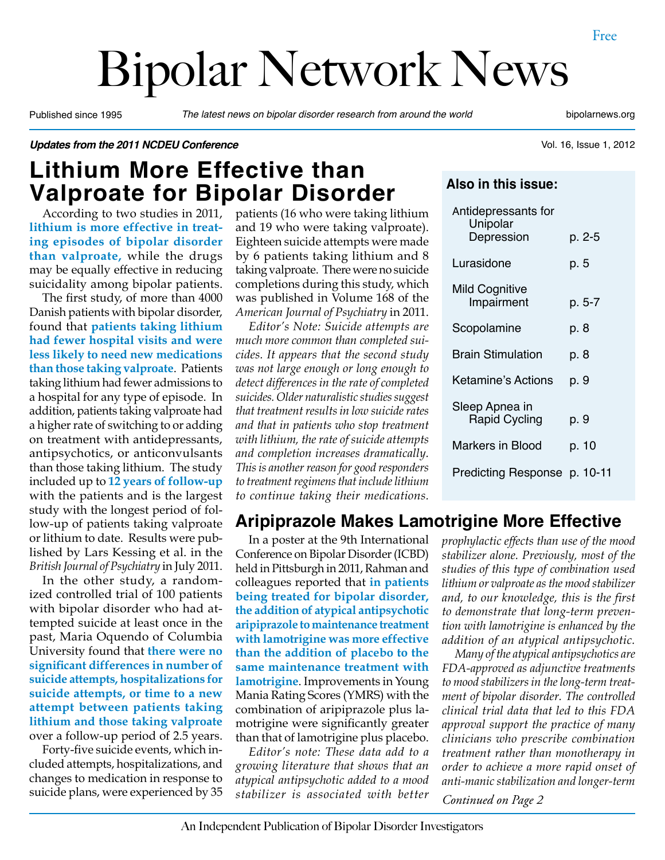# Bipolar Network News

Published since 1995 *The latest news on bipolar disorder research from around the world* bipolarnews.org

Vol. 16, Issue 1, 2012

*Updates from the 2011 NCDEU Conference*

# **Lithium More Effective than Valproate for Bipolar Disorder**

According to two studies in 2011, **lithium is more effective in treating episodes of bipolar disorder than valproate,** while the drugs may be equally effective in reducing suicidality among bipolar patients.

The first study, of more than 4000 Danish patients with bipolar disorder, found that **patients taking lithium had fewer hospital visits and were less likely to need new medications than those taking valproate**. Patients taking lithium had fewer admissions to a hospital for any type of episode. In addition, patients taking valproate had a higher rate of switching to or adding on treatment with antidepressants, antipsychotics, or anticonvulsants than those taking lithium. The study included up to **12 years of follow-up**  with the patients and is the largest study with the longest period of follow-up of patients taking valproate or lithium to date. Results were published by Lars Kessing et al. in the *British Journal of Psychiatry* in July 2011.

In the other study, a randomized controlled trial of 100 patients with bipolar disorder who had attempted suicide at least once in the past, Maria Oquendo of Columbia University found that **there were no significant differences in number of suicide attempts, hospitalizations for suicide attempts, or time to a new attempt between patients taking lithium and those taking valproate**  over a follow-up period of 2.5 years.

Forty-five suicide events, which included attempts, hospitalizations, and changes to medication in response to suicide plans, were experienced by 35 patients (16 who were taking lithium and 19 who were taking valproate). Eighteen suicide attempts were made by 6 patients taking lithium and 8 taking valproate. There were no suicide completions during this study, which was published in Volume 168 of the *American Journal of Psychiatry* in 2011.

*Editor's Note: Suicide attempts are much more common than completed suicides. It appears that the second study was not large enough or long enough to detect differences in the rate of completed suicides. Older naturalistic studies suggest that treatment results in low suicide rates and that in patients who stop treatment with lithium, the rate of suicide attempts and completion increases dramatically. This is another reason for good responders to treatment regimens that include lithium to continue taking their medications.*

**Also in this issue:**

| Antidepressants for<br>Unipolar |        |
|---------------------------------|--------|
| Depression                      | p. 2-5 |
| Lurasidone                      | p. 5   |
| <b>Mild Cognitive</b>           |        |
| Impairment                      | p. 5-7 |
| Scopolamine                     | p. 8   |
| <b>Brain Stimulation</b>        | p. 8   |
| Ketamine's Actions              | p. 9   |
| Sleep Apnea in                  |        |
| <b>Rapid Cycling</b>            | p. 9   |
| Markers in Blood                | p. 10  |
| Predicting Response p. 10-11    |        |

## **Aripiprazole Makes Lamotrigine More Effective**

In a poster at the 9th International Conference on Bipolar Disorder (ICBD) held in Pittsburgh in 2011, Rahman and colleagues reported that **in patients being treated for bipolar disorder, the addition of atypical antipsychotic aripiprazole to maintenance treatment with lamotrigine was more effective than the addition of placebo to the same maintenance treatment with lamotrigine**. Improvements in Young Mania Rating Scores (YMRS) with the combination of aripiprazole plus lamotrigine were significantly greater than that of lamotrigine plus placebo.

*Editor's note: These data add to a growing literature that shows that an atypical antipsychotic added to a mood stabilizer is associated with better*  *prophylactic effects than use of the mood stabilizer alone. Previously, most of the studies of this type of combination used lithium or valproate as the mood stabilizer and, to our knowledge, this is the first to demonstrate that long-term prevention with lamotrigine is enhanced by the addition of an atypical antipsychotic.*

*Many of the atypical antipsychotics are FDA-approved as adjunctive treatments to mood stabilizers in the long-term treatment of bipolar disorder. The controlled clinical trial data that led to this FDA approval support the practice of many clinicians who prescribe combination treatment rather than monotherapy in order to achieve a more rapid onset of anti-manic stabilization and longer-term* 

*Continued on Page 2*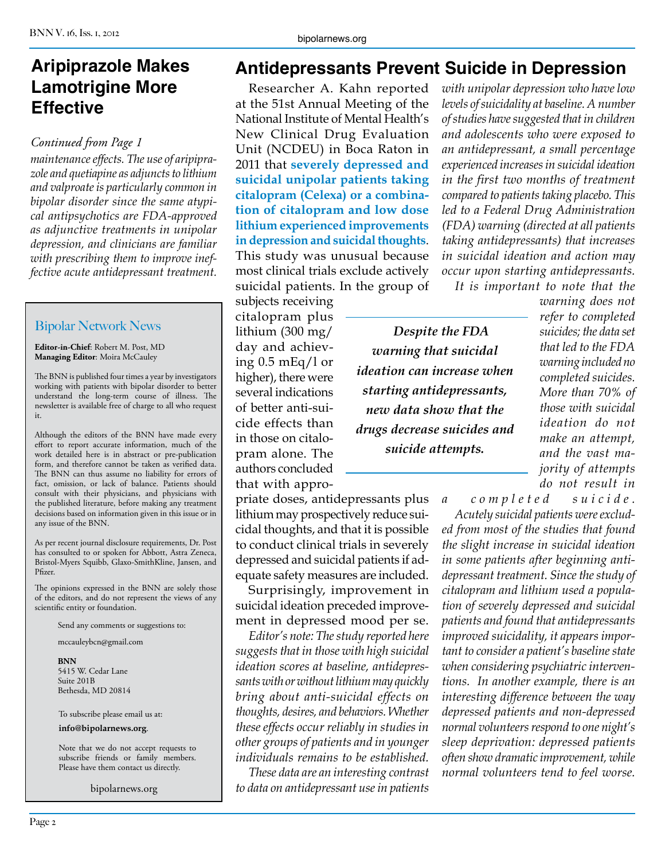# **Aripiprazole Makes Lamotrigine More Effective**

#### *Continued from Page 1*

*maintenance effects. The use of aripiprazole and quetiapine as adjuncts to lithium and valproate is particularly common in bipolar disorder since the same atypical antipsychotics are FDA-approved as adjunctive treatments in unipolar depression, and clinicians are familiar with prescribing them to improve ineffective acute antidepressant treatment.*

#### Bipolar Network News

**Editor-in-Chief**: Robert M. Post, MD **Managing Editor**: Moira McCauley

The BNN is published four times a year by investigators working with patients with bipolar disorder to better understand the long-term course of illness. The newsletter is available free of charge to all who request it.

Although the editors of the BNN have made every effort to report accurate information, much of the work detailed here is in abstract or pre-publication form, and therefore cannot be taken as verified data. The BNN can thus assume no liability for errors of fact, omission, or lack of balance. Patients should consult with their physicians, and physicians with the published literature, before making any treatment decisions based on information given in this issue or in any issue of the BNN.

As per recent journal disclosure requirements, Dr. Post has consulted to or spoken for Abbott, Astra Zeneca, Bristol-Myers Squibb, Glaxo-SmithKline, Jansen, and Pfizer.

The opinions expressed in the BNN are solely those of the editors, and do not represent the views of any scientific entity or foundation.

Send any comments or suggestions to:

mccauleybcn@gmail.com

**BNN** 5415 W. Cedar Lane Suite 201B Bethesda, MD 20814

To subscribe please email us at: **info@bipolarnews.org**.

Note that we do not accept requests to subscribe friends or family members. Please have them contact us directly.

bipolarnews.org

# **Antidepressants Prevent Suicide in Depression**

Researcher A. Kahn reported at the 51st Annual Meeting of the National Institute of Mental Health's New Clinical Drug Evaluation Unit (NCDEU) in Boca Raton in 2011 that **severely depressed and suicidal unipolar patients taking citalopram (Celexa) or a combination of citalopram and low dose lithium experienced improvements in depression and suicidal thoughts**. This study was unusual because most clinical trials exclude actively suicidal patients. In the group of

subjects receiving citalopram plus lithium (300 mg/ day and achieving 0.5 mEq/l or higher), there were several indications of better anti-suicide effects than in those on citalopram alone. The authors concluded that with appro-

priate doses, antidepressants plus lithium may prospectively reduce suicidal thoughts, and that it is possible to conduct clinical trials in severely depressed and suicidal patients if adequate safety measures are included.

Surprisingly, improvement in suicidal ideation preceded improvement in depressed mood per se.

*Editor's note: The study reported here suggests that in those with high suicidal ideation scores at baseline, antidepressants with or without lithium may quickly bring about anti-suicidal effects on thoughts, desires, and behaviors. Whether these effects occur reliably in studies in other groups of patients and in younger individuals remains to be established.*

*These data are an interesting contrast to data on antidepressant use in patients*  *with unipolar depression who have low levels of suicidality at baseline. A number of studies have suggested that in children and adolescents who were exposed to an antidepressant, a small percentage experienced increases in suicidal ideation in the first two months of treatment compared to patients taking placebo. This led to a Federal Drug Administration (FDA) warning (directed at all patients taking antidepressants) that increases in suicidal ideation and action may occur upon starting antidepressants. It is important to note that the* 

*Despite the FDA warning that suicidal ideation can increase when starting antidepressants, new data show that the drugs decrease suicides and suicide attempts.*

*warning does not refer to completed suicides; the data set that led to the FDA warning included no completed suicides. More than 70% of those with suicidal ideation do not make an attempt, and the vast majority of attempts do not result in* 

*a completed suicide.*

*Acutely suicidal patients were excluded from most of the studies that found the slight increase in suicidal ideation in some patients after beginning antidepressant treatment. Since the study of citalopram and lithium used a population of severely depressed and suicidal patients and found that antidepressants improved suicidality, it appears important to consider a patient's baseline state when considering psychiatric interventions. In another example, there is an interesting difference between the way depressed patients and non-depressed normal volunteers respond to one night's sleep deprivation: depressed patients often show dramatic improvement, while normal volunteers tend to feel worse.*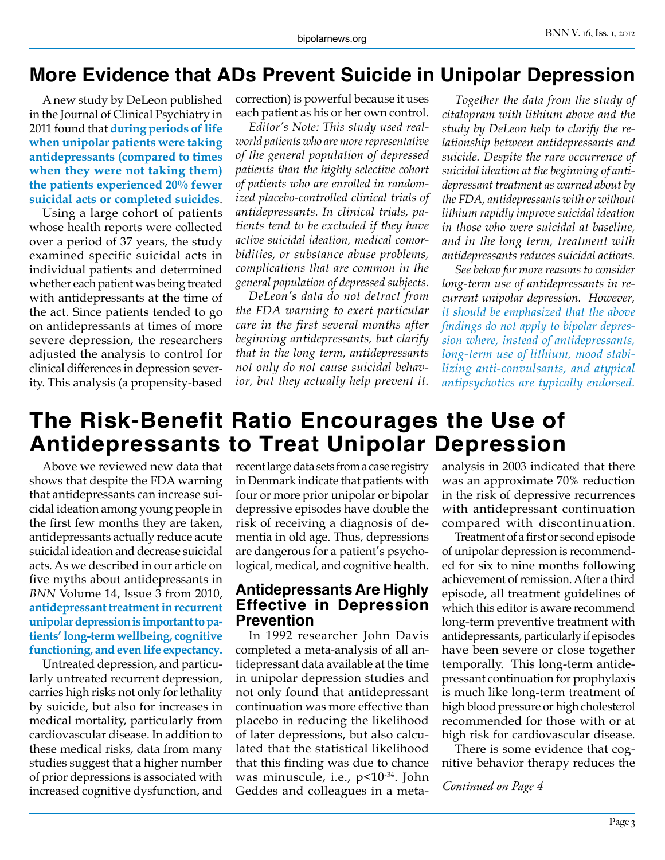# **More Evidence that ADs Prevent Suicide in Unipolar Depression**

A new study by DeLeon published in the Journal of Clinical Psychiatry in 2011 found that **during periods of life when unipolar patients were taking antidepressants (compared to times when they were not taking them) the patients experienced 20% fewer suicidal acts or completed suicides**.

Using a large cohort of patients whose health reports were collected over a period of 37 years, the study examined specific suicidal acts in individual patients and determined whether each patient was being treated with antidepressants at the time of the act. Since patients tended to go on antidepressants at times of more severe depression, the researchers adjusted the analysis to control for clinical differences in depression severity. This analysis (a propensity-based

correction) is powerful because it uses each patient as his or her own control.

*Editor's Note: This study used realworld patients who are more representative of the general population of depressed patients than the highly selective cohort of patients who are enrolled in randomized placebo-controlled clinical trials of antidepressants. In clinical trials, patients tend to be excluded if they have active suicidal ideation, medical comorbidities, or substance abuse problems, complications that are common in the general population of depressed subjects.*

*DeLeon's data do not detract from the FDA warning to exert particular care in the first several months after beginning antidepressants, but clarify that in the long term, antidepressants not only do not cause suicidal behavior, but they actually help prevent it.*

*Together the data from the study of citalopram with lithium above and the study by DeLeon help to clarify the relationship between antidepressants and suicide. Despite the rare occurrence of suicidal ideation at the beginning of antidepressant treatment as warned about by the FDA, antidepressants with or without lithium rapidly improve suicidal ideation in those who were suicidal at baseline, and in the long term, treatment with antidepressants reduces suicidal actions.*

*See below for more reasons to consider long-term use of antidepressants in recurrent unipolar depression. However, it should be emphasized that the above findings do not apply to bipolar depression where, instead of antidepressants, long-term use of lithium, mood stabilizing anti-convulsants, and atypical antipsychotics are typically endorsed.*

# **The Risk-Benefit Ratio Encourages the Use of Antidepressants to Treat Unipolar Depression**

Above we reviewed new data that shows that despite the FDA warning that antidepressants can increase suicidal ideation among young people in the first few months they are taken, antidepressants actually reduce acute suicidal ideation and decrease suicidal acts. As we described in our article on five myths about antidepressants in *BNN* Volume 14, Issue 3 from 2010, **antidepressant treatment in recurrent unipolar depression is important to patients' long-term wellbeing, cognitive functioning, and even life expectancy.**

Untreated depression, and particularly untreated recurrent depression, carries high risks not only for lethality by suicide, but also for increases in medical mortality, particularly from cardiovascular disease. In addition to these medical risks, data from many studies suggest that a higher number of prior depressions is associated with increased cognitive dysfunction, and

recent large data sets from a case registry in Denmark indicate that patients with four or more prior unipolar or bipolar depressive episodes have double the risk of receiving a diagnosis of dementia in old age. Thus, depressions are dangerous for a patient's psychological, medical, and cognitive health.

#### **Antidepressants Are Highly Effective in Depression Prevention**

In 1992 researcher John Davis completed a meta-analysis of all antidepressant data available at the time in unipolar depression studies and not only found that antidepressant continuation was more effective than placebo in reducing the likelihood of later depressions, but also calculated that the statistical likelihood that this finding was due to chance was minuscule, i.e., p<10<sup>-34</sup>. John Geddes and colleagues in a metaanalysis in 2003 indicated that there was an approximate 70% reduction in the risk of depressive recurrences with antidepressant continuation compared with discontinuation.

Treatment of a first or second episode of unipolar depression is recommended for six to nine months following achievement of remission. After a third episode, all treatment guidelines of which this editor is aware recommend long-term preventive treatment with antidepressants, particularly if episodes have been severe or close together temporally. This long-term antidepressant continuation for prophylaxis is much like long-term treatment of high blood pressure or high cholesterol recommended for those with or at high risk for cardiovascular disease.

There is some evidence that cognitive behavior therapy reduces the

*Continued on Page 4*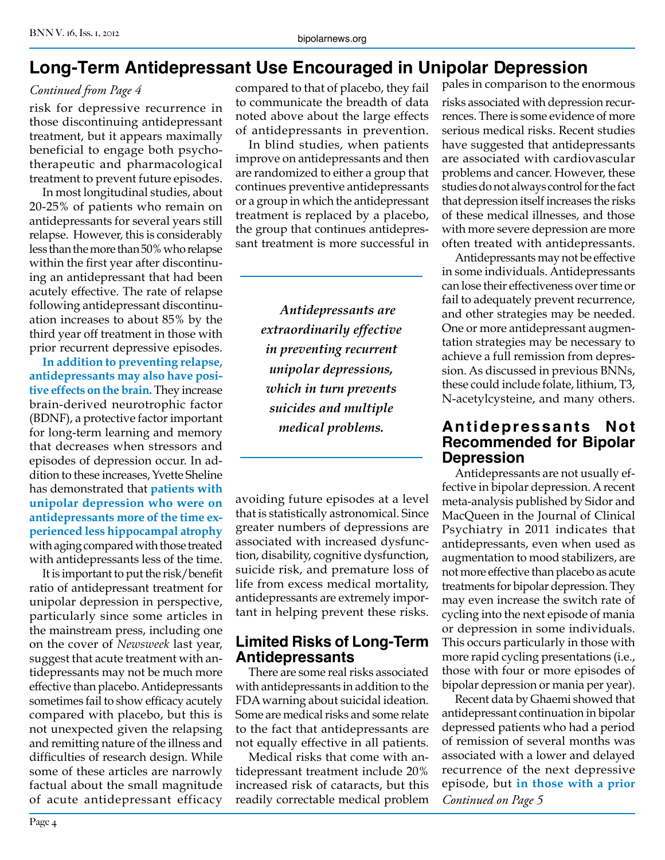# **Long-Term Antidepressant Use Encouraged in Unipolar Depression**

#### *Continued from Page 4*

risk for depressive recurrence in those discontinuing antidepressant treatment, but it appears maximally beneficial to engage both psychotherapeutic and pharmacological treatment to prevent future episodes.

In most longitudinal studies, about 20-25% of patients who remain on antidepressants for several years still relapse. However, this is considerably less than the more than 50% who relapse within the first year after discontinuing an antidepressant that had been acutely effective. The rate of relapse following antidepressant discontinuation increases to about 85% by the third year off treatment in those with prior recurrent depressive episodes.

**In addition to preventing relapse, antidepressants may also have positive effects on the brain.** They increase brain-derived neurotrophic factor (BDNF), a protective factor important for long-term learning and memory that decreases when stressors and episodes of depression occur. In addition to these increases, Yvette Sheline has demonstrated that **patients with unipolar depression who were on antidepressants more of the time experienced less hippocampal atrophy**  with aging compared with those treated with antidepressants less of the time.

It is important to put the risk/benefit ratio of antidepressant treatment for unipolar depression in perspective, particularly since some articles in the mainstream press, including one on the cover of *Newsweek* last year, suggest that acute treatment with antidepressants may not be much more effective than placebo. Antidepressants sometimes fail to show efficacy acutely compared with placebo, but this is not unexpected given the relapsing and remitting nature of the illness and difficulties of research design. While some of these articles are narrowly factual about the small magnitude of acute antidepressant efficacy

compared to that of placebo, they fail to communicate the breadth of data noted above about the large effects of antidepressants in prevention.

In blind studies, when patients improve on antidepressants and then are randomized to either a group that continues preventive antidepressants or a group in which the antidepressant treatment is replaced by a placebo, the group that continues antidepressant treatment is more successful in

> *Antidepressants are extraordinarily effective in preventing recurrent unipolar depressions, which in turn prevents suicides and multiple medical problems.*

avoiding future episodes at a level that is statistically astronomical. Since greater numbers of depressions are associated with increased dysfunction, disability, cognitive dysfunction, suicide risk, and premature loss of life from excess medical mortality, antidepressants are extremely important in helping prevent these risks.

#### **Limited Risks of Long-Term Antidepressants**

There are some real risks associated with antidepressants in addition to the FDA warning about suicidal ideation. Some are medical risks and some relate to the fact that antidepressants are not equally effective in all patients.

Medical risks that come with antidepressant treatment include 20% increased risk of cataracts, but this readily correctable medical problem

pales in comparison to the enormous risks associated with depression recurrences. There is some evidence of more serious medical risks. Recent studies have suggested that antidepressants are associated with cardiovascular problems and cancer. However, these studies do not always control for the fact that depression itself increases the risks of these medical illnesses, and those with more severe depression are more often treated with antidepressants.

Antidepressants may not be effective in some individuals. Antidepressants can lose their effectiveness over time or fail to adequately prevent recurrence, and other strategies may be needed. One or more antidepressant augmentation strategies may be necessary to achieve a full remission from depression. As discussed in previous BNNs, these could include folate, lithium, T3, N-acetylcysteine, and many others.

#### **Antidepressants Not Recommended for Bipolar Depression**

Antidepressants are not usually effective in bipolar depression. A recent meta-analysis published by Sidor and MacQueen in the Journal of Clinical Psychiatry in 2011 indicates that antidepressants, even when used as augmentation to mood stabilizers, are not more effective than placebo as acute treatments for bipolar depression. They may even increase the switch rate of cycling into the next episode of mania or depression in some individuals. This occurs particularly in those with more rapid cycling presentations (i.e., those with four or more episodes of bipolar depression or mania per year).

Recent data by Ghaemi showed that antidepressant continuation in bipolar depressed patients who had a period of remission of several months was associated with a lower and delayed recurrence of the next depressive episode, but **in those with a prior**  *Continued on Page 5*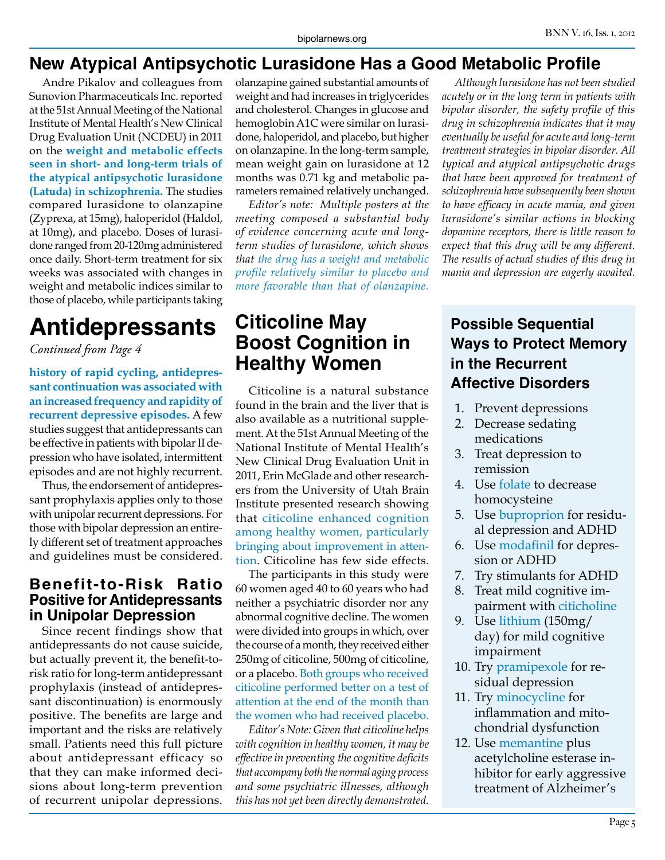## **New Atypical Antipsychotic Lurasidone Has a Good Metabolic Profile**

Andre Pikalov and colleagues from Sunovion Pharmaceuticals Inc. reported at the 51st Annual Meeting of the National Institute of Mental Health's New Clinical Drug Evaluation Unit (NCDEU) in 2011 on the **weight and metabolic effects seen in short- and long-term trials of the atypical antipsychotic lurasidone (Latuda) in schizophrenia.** The studies compared lurasidone to olanzapine (Zyprexa, at 15mg), haloperidol (Haldol, at 10mg), and placebo. Doses of lurasidone ranged from 20-120mg administered once daily. Short-term treatment for six weeks was associated with changes in weight and metabolic indices similar to those of placebo, while participants taking

# **Antidepressants**

*Continued from Page 4*

**history of rapid cycling, antidepressant continuation was associated with an increased frequency and rapidity of recurrent depressive episodes.** A few studies suggest that antidepressants can be effective in patients with bipolar II depression who have isolated, intermittent episodes and are not highly recurrent.

Thus, the endorsement of antidepressant prophylaxis applies only to those with unipolar recurrent depressions. For those with bipolar depression an entirely different set of treatment approaches and guidelines must be considered.

#### **Benefit-to-Risk Ratio Positive for Antidepressants in Unipolar Depression**

Since recent findings show that antidepressants do not cause suicide, but actually prevent it, the benefit-torisk ratio for long-term antidepressant prophylaxis (instead of antidepressant discontinuation) is enormously positive. The benefits are large and important and the risks are relatively small. Patients need this full picture about antidepressant efficacy so that they can make informed decisions about long-term prevention of recurrent unipolar depressions.

olanzapine gained substantial amounts of weight and had increases in triglycerides and cholesterol. Changes in glucose and hemoglobin A1C were similar on lurasidone, haloperidol, and placebo, but higher on olanzapine. In the long-term sample, mean weight gain on lurasidone at 12 months was 0.71 kg and metabolic parameters remained relatively unchanged.

*Editor's note: Multiple posters at the meeting composed a substantial body of evidence concerning acute and longterm studies of lurasidone, which shows that the drug has a weight and metabolic profile relatively similar to placebo and more favorable than that of olanzapine.*

# **Citicoline May Boost Cognition in Healthy Women**

Citicoline is a natural substance found in the brain and the liver that is also available as a nutritional supplement. At the 51st Annual Meeting of the National Institute of Mental Health's New Clinical Drug Evaluation Unit in 2011, Erin McGlade and other researchers from the University of Utah Brain Institute presented research showing that citicoline enhanced cognition among healthy women, particularly bringing about improvement in attention. Citicoline has few side effects.

The participants in this study were 60 women aged 40 to 60 years who had neither a psychiatric disorder nor any abnormal cognitive decline. The women were divided into groups in which, over the course of a month, they received either 250mg of citicoline, 500mg of citicoline, or a placebo. Both groups who received citicoline performed better on a test of attention at the end of the month than the women who had received placebo.

*Editor's Note: Given that citicoline helps with cognition in healthy women, it may be effective in preventing the cognitive deficits that accompany both the normal aging process and some psychiatric illnesses, although this has not yet been directly demonstrated.*

*Although lurasidone has not been studied acutely or in the long term in patients with bipolar disorder, the safety profile of this drug in schizophrenia indicates that it may eventually be useful for acute and long-term treatment strategies in bipolar disorder. All typical and atypical antipsychotic drugs that have been approved for treatment of schizophrenia have subsequently been shown to have efficacy in acute mania, and given lurasidone's similar actions in blocking dopamine receptors, there is little reason to expect that this drug will be any different. The results of actual studies of this drug in mania and depression are eagerly awaited.*

## **Possible Sequential Ways to Protect Memory in the Recurrent Affective Disorders**

- 1. Prevent depressions
- 2. Decrease sedating medications
- 3. Treat depression to remission
- 4. Use folate to decrease homocysteine
- 5. Use buproprion for residual depression and ADHD
- 6. Use modafinil for depression or ADHD
- 7. Try stimulants for ADHD
- 8. Treat mild cognitive impairment with citicholine
- 9. Use lithium (150mg/ day) for mild cognitive impairment
- 10. Try pramipexole for residual depression
- 11. Try minocycline for inflammation and mitochondrial dysfunction
- 12. Use memantine plus acetylcholine esterase inhibitor for early aggressive treatment of Alzheimer's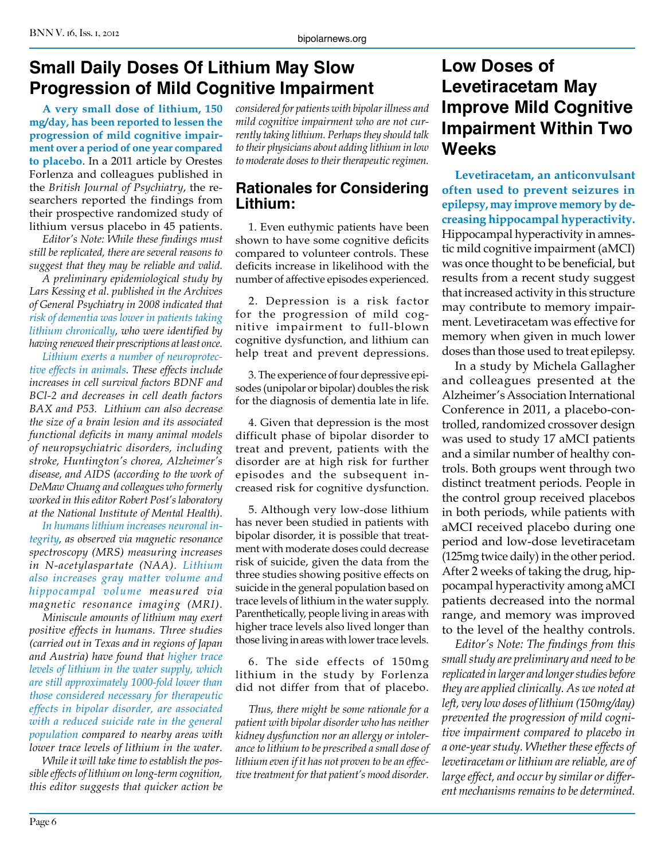# **Small Daily Doses Of Lithium May Slow Progression of Mild Cognitive Impairment**

**A very small dose of lithium, 150 mg/day, has been reported to lessen the progression of mild cognitive impairment over a period of one year compared to placebo**. In a 2011 article by Orestes Forlenza and colleagues published in the *British Journal of Psychiatry*, the researchers reported the findings from their prospective randomized study of lithium versus placebo in 45 patients.

*Editor's Note: While these findings must still be replicated, there are several reasons to suggest that they may be reliable and valid.*

*A preliminary epidemiological study by Lars Kessing et al. published in the Archives of General Psychiatry in 2008 indicated that risk of dementia was lower in patients taking lithium chronically, who were identified by having renewed their prescriptions at least once.*

*Lithium exerts a number of neuroprotective effects in animals. These effects include increases in cell survival factors BDNF and BCl-2 and decreases in cell death factors BAX and P53. Lithium can also decrease the size of a brain lesion and its associated functional deficits in many animal models of neuropsychiatric disorders, including stroke, Huntington's chorea, Alzheimer's disease, and AIDS (according to the work of DeMaw Chuang and colleagues who formerly worked in this editor Robert Post's laboratory at the National Institute of Mental Health).* 

*In humans lithium increases neuronal integrity, as observed via magnetic resonance spectroscopy (MRS) measuring increases in N-acetylaspartate (NAA). Lithium also increases gray matter volume and hippocampal volume measured via magnetic resonance imaging (MRI).* 

*Miniscule amounts of lithium may exert positive effects in humans. Three studies (carried out in Texas and in regions of Japan and Austria) have found that higher trace levels of lithium in the water supply, which are still approximately 1000-fold lower than those considered necessary for therapeutic effects in bipolar disorder, are associated with a reduced suicide rate in the general population compared to nearby areas with lower trace levels of lithium in the water.*

*While it will take time to establish the possible effects of lithium on long-term cognition, this editor suggests that quicker action be*  *considered for patients with bipolar illness and mild cognitive impairment who are not currently taking lithium. Perhaps they should talk to their physicians about adding lithium in low to moderate doses to their therapeutic regimen.*

#### **Rationales for Considering Lithium:**

1. Even euthymic patients have been shown to have some cognitive deficits compared to volunteer controls. These deficits increase in likelihood with the number of affective episodes experienced.

2. Depression is a risk factor for the progression of mild cognitive impairment to full-blown cognitive dysfunction, and lithium can help treat and prevent depressions.

3. The experience of four depressive episodes (unipolar or bipolar) doubles the risk for the diagnosis of dementia late in life.

4. Given that depression is the most difficult phase of bipolar disorder to treat and prevent, patients with the disorder are at high risk for further episodes and the subsequent increased risk for cognitive dysfunction.

5. Although very low-dose lithium has never been studied in patients with bipolar disorder, it is possible that treatment with moderate doses could decrease risk of suicide, given the data from the three studies showing positive effects on suicide in the general population based on trace levels of lithium in the water supply. Parenthetically, people living in areas with higher trace levels also lived longer than those living in areas with lower trace levels.

6. The side effects of 150mg lithium in the study by Forlenza did not differ from that of placebo.

*Thus, there might be some rationale for a patient with bipolar disorder who has neither kidney dysfunction nor an allergy or intolerance to lithium to be prescribed a small dose of lithium even if it has not proven to be an effective treatment for that patient's mood disorder.*

# **Low Doses of Levetiracetam May Improve Mild Cognitive Impairment Within Two Weeks**

**Levetiracetam, an anticonvulsant often used to prevent seizures in epilepsy, may improve memory by decreasing hippocampal hyperactivity.**  Hippocampal hyperactivity in amnestic mild cognitive impairment (aMCI) was once thought to be beneficial, but results from a recent study suggest that increased activity in this structure may contribute to memory impairment. Levetiracetam was effective for memory when given in much lower doses than those used to treat epilepsy.

In a study by Michela Gallagher and colleagues presented at the Alzheimer's Association International Conference in 2011, a placebo-controlled, randomized crossover design was used to study 17 aMCI patients and a similar number of healthy controls. Both groups went through two distinct treatment periods. People in the control group received placebos in both periods, while patients with aMCI received placebo during one period and low-dose levetiracetam (125mg twice daily) in the other period. After 2 weeks of taking the drug, hippocampal hyperactivity among aMCI patients decreased into the normal range, and memory was improved to the level of the healthy controls.

*Editor's Note: The findings from this small study are preliminary and need to be replicated in larger and longer studies before they are applied clinically. As we noted at left, very low doses of lithium (150mg/day) prevented the progression of mild cognitive impairment compared to placebo in a one-year study. Whether these effects of levetiracetam or lithium are reliable, are of large effect, and occur by similar or different mechanisms remains to be determined.*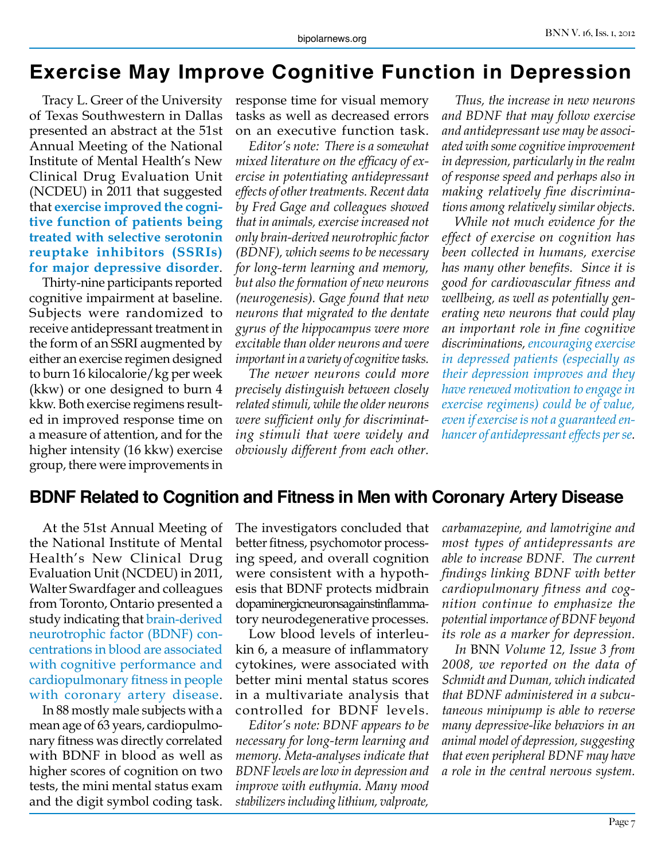# **Exercise May Improve Cognitive Function in Depression**

Tracy L. Greer of the University of Texas Southwestern in Dallas presented an abstract at the 51st Annual Meeting of the National Institute of Mental Health's New Clinical Drug Evaluation Unit (NCDEU) in 2011 that suggested that **exercise improved the cognitive function of patients being treated with selective serotonin reuptake inhibitors (SSRIs) for major depressive disorder**.

Thirty-nine participants reported cognitive impairment at baseline. Subjects were randomized to receive antidepressant treatment in the form of an SSRI augmented by either an exercise regimen designed to burn 16 kilocalorie/kg per week (kkw) or one designed to burn 4 kkw. Both exercise regimens resulted in improved response time on a measure of attention, and for the higher intensity (16 kkw) exercise group, there were improvements in

response time for visual memory tasks as well as decreased errors on an executive function task.

*Editor's note: There is a somewhat mixed literature on the efficacy of exercise in potentiating antidepressant effects of other treatments. Recent data by Fred Gage and colleagues showed that in animals, exercise increased not only brain-derived neurotrophic factor (BDNF), which seems to be necessary for long-term learning and memory, but also the formation of new neurons (neurogenesis). Gage found that new neurons that migrated to the dentate gyrus of the hippocampus were more excitable than older neurons and were important in a variety of cognitive tasks.*

*The newer neurons could more precisely distinguish between closely related stimuli, while the older neurons were sufficient only for discriminating stimuli that were widely and obviously different from each other.* 

*Thus, the increase in new neurons and BDNF that may follow exercise and antidepressant use may be associated with some cognitive improvement in depression, particularly in the realm of response speed and perhaps also in making relatively fine discriminations among relatively similar objects.* 

*While not much evidence for the effect of exercise on cognition has been collected in humans, exercise has many other benefits. Since it is good for cardiovascular fitness and wellbeing, as well as potentially generating new neurons that could play an important role in fine cognitive discriminations, encouraging exercise in depressed patients (especially as their depression improves and they have renewed motivation to engage in exercise regimens) could be of value, even if exercise is not a guaranteed enhancer of antidepressant effects per se.*

#### **BDNF Related to Cognition and Fitness in Men with Coronary Artery Disease**

At the 51st Annual Meeting of the National Institute of Mental Health's New Clinical Drug Evaluation Unit (NCDEU) in 2011, Walter Swardfager and colleagues from Toronto, Ontario presented a study indicating that brain-derived neurotrophic factor (BDNF) concentrations in blood are associated with cognitive performance and cardiopulmonary fitness in people with coronary artery disease.

In 88 mostly male subjects with a mean age of 63 years, cardiopulmonary fitness was directly correlated with BDNF in blood as well as higher scores of cognition on two tests, the mini mental status exam and the digit symbol coding task.

The investigators concluded that better fitness, psychomotor processing speed, and overall cognition were consistent with a hypothesis that BDNF protects midbrain dopaminergicneuronsagainstinflammatory neurodegenerative processes.

Low blood levels of interleukin 6, a measure of inflammatory cytokines, were associated with better mini mental status scores in a multivariate analysis that controlled for BDNF levels.

*Editor's note: BDNF appears to be necessary for long-term learning and memory. Meta-analyses indicate that BDNF levels are low in depression and improve with euthymia. Many mood stabilizers including lithium, valproate,* 

*carbamazepine, and lamotrigine and most types of antidepressants are able to increase BDNF. The current findings linking BDNF with better cardiopulmonary fitness and cognition continue to emphasize the potential importance of BDNF beyond its role as a marker for depression.*

*In* BNN *Volume 12, Issue 3 from 2008, we reported on the data of Schmidt and Duman, which indicated that BDNF administered in a subcutaneous minipump is able to reverse many depressive-like behaviors in an animal model of depression, suggesting that even peripheral BDNF may have a role in the central nervous system.*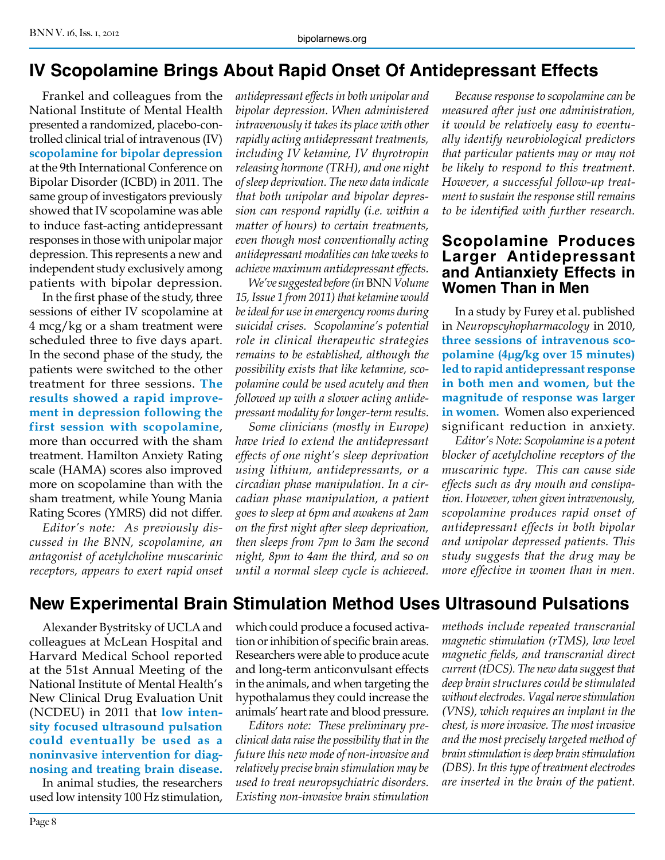## **IV Scopolamine Brings About Rapid Onset Of Antidepressant Effects**

Frankel and colleagues from the National Institute of Mental Health presented a randomized, placebo-controlled clinical trial of intravenous (IV) **scopolamine for bipolar depression** at the 9th International Conference on Bipolar Disorder (ICBD) in 2011. The same group of investigators previously showed that IV scopolamine was able to induce fast-acting antidepressant responses in those with unipolar major depression. This represents a new and independent study exclusively among patients with bipolar depression.

In the first phase of the study, three sessions of either IV scopolamine at 4 mcg/kg or a sham treatment were scheduled three to five days apart. In the second phase of the study, the patients were switched to the other treatment for three sessions. **The results showed a rapid improvement in depression following the first session with scopolamine**, more than occurred with the sham treatment. Hamilton Anxiety Rating scale (HAMA) scores also improved more on scopolamine than with the sham treatment, while Young Mania Rating Scores (YMRS) did not differ.

*Editor's note: As previously discussed in the BNN, scopolamine, an antagonist of acetylcholine muscarinic receptors, appears to exert rapid onset*  *antidepressant effects in both unipolar and bipolar depression. When administered intravenously it takes its place with other rapidly acting antidepressant treatments, including IV ketamine, IV thyrotropin releasing hormone (TRH), and one night of sleep deprivation. The new data indicate that both unipolar and bipolar depression can respond rapidly (i.e. within a matter of hours) to certain treatments, even though most conventionally acting antidepressant modalities can take weeks to achieve maximum antidepressant effects.*

*We've suggested before (in* BNN *Volume 15, Issue 1 from 2011) that ketamine would be ideal for use in emergency rooms during suicidal crises. Scopolamine's potential role in clinical therapeutic strategies remains to be established, although the possibility exists that like ketamine, scopolamine could be used acutely and then followed up with a slower acting antidepressant modality for longer-term results.* 

*Some clinicians (mostly in Europe) have tried to extend the antidepressant effects of one night's sleep deprivation using lithium, antidepressants, or a circadian phase manipulation. In a circadian phase manipulation, a patient goes to sleep at 6pm and awakens at 2am on the first night after sleep deprivation, then sleeps from 7pm to 3am the second night, 8pm to 4am the third, and so on until a normal sleep cycle is achieved.*

*Because response to scopolamine can be measured after just one administration, it would be relatively easy to eventually identify neurobiological predictors that particular patients may or may not be likely to respond to this treatment. However, a successful follow-up treatment to sustain the response still remains to be identified with further research.*

#### **Scopolamine Produces Larger Antidepressant and Antianxiety Effects in Women Than in Men**

In a study by Furey et al. published in *Neuropscyhopharmacology* in 2010, **three sessions of intravenous scopolamine (4µg/kg over 15 minutes) led to rapid antidepressant response in both men and women, but the magnitude of response was larger in women.** Women also experienced significant reduction in anxiety.

*Editor's Note: Scopolamine is a potent blocker of acetylcholine receptors of the muscarinic type. This can cause side effects such as dry mouth and constipation. However, when given intravenously, scopolamine produces rapid onset of antidepressant effects in both bipolar and unipolar depressed patients. This study suggests that the drug may be more effective in women than in men.*

# **New Experimental Brain Stimulation Method Uses Ultrasound Pulsations**

Alexander Bystritsky of UCLA and colleagues at McLean Hospital and Harvard Medical School reported at the 51st Annual Meeting of the National Institute of Mental Health's New Clinical Drug Evaluation Unit (NCDEU) in 2011 that **low intensity focused ultrasound pulsation could eventually be used as a noninvasive intervention for diagnosing and treating brain disease.**

In animal studies, the researchers used low intensity 100 Hz stimulation, which could produce a focused activation or inhibition of specific brain areas. Researchers were able to produce acute and long-term anticonvulsant effects in the animals, and when targeting the hypothalamus they could increase the animals' heart rate and blood pressure.

*Editors note: These preliminary preclinical data raise the possibility that in the future this new mode of non-invasive and relatively precise brain stimulation may be used to treat neuropsychiatric disorders. Existing non-invasive brain stimulation* 

*methods include repeated transcranial magnetic stimulation (rTMS), low level magnetic fields, and transcranial direct current (tDCS). The new data suggest that deep brain structures could be stimulated without electrodes. Vagal nerve stimulation (VNS), which requires an implant in the chest, is more invasive. The most invasive and the most precisely targeted method of brain stimulation is deep brain stimulation (DBS). In this type of treatment electrodes are inserted in the brain of the patient.*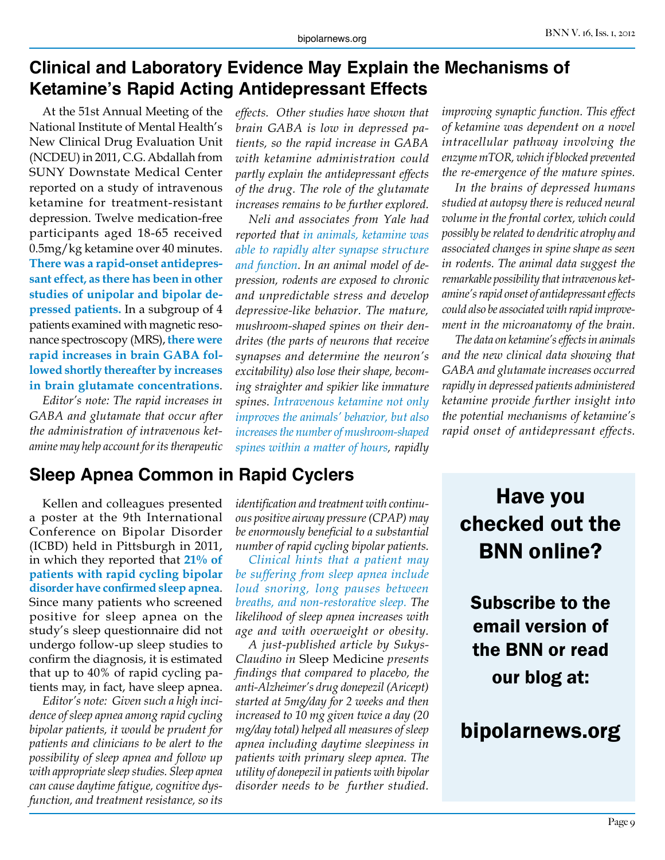# **Clinical and Laboratory Evidence May Explain the Mechanisms of Ketamine's Rapid Acting Antidepressant Effects**

At the 51st Annual Meeting of the National Institute of Mental Health's New Clinical Drug Evaluation Unit (NCDEU) in 2011, C.G. Abdallah from SUNY Downstate Medical Center reported on a study of intravenous ketamine for treatment-resistant depression. Twelve medication-free participants aged 18-65 received 0.5mg/kg ketamine over 40 minutes. **There was a rapid-onset antidepressant effect, as there has been in other studies of unipolar and bipolar depressed patients.** In a subgroup of 4 patients examined with magnetic resonance spectroscopy (MRS), **there were rapid increases in brain GABA followed shortly thereafter by increases in brain glutamate concentrations**.

*Editor's note: The rapid increases in GABA and glutamate that occur after the administration of intravenous ketamine may help account for its therapeutic* 

# **Sleep Apnea Common in Rapid Cyclers**

Kellen and colleagues presented a poster at the 9th International Conference on Bipolar Disorder (ICBD) held in Pittsburgh in 2011, in which they reported that **21% of patients with rapid cycling bipolar disorder have confirmed sleep apnea**. Since many patients who screened positive for sleep apnea on the study's sleep questionnaire did not undergo follow-up sleep studies to confirm the diagnosis, it is estimated that up to 40% of rapid cycling patients may, in fact, have sleep apnea.

*Editor's note: Given such a high incidence of sleep apnea among rapid cycling bipolar patients, it would be prudent for patients and clinicians to be alert to the possibility of sleep apnea and follow up with appropriate sleep studies. Sleep apnea can cause daytime fatigue, cognitive dysfunction, and treatment resistance, so its* 

*effects. Other studies have shown that brain GABA is low in depressed patients, so the rapid increase in GABA with ketamine administration could partly explain the antidepressant effects of the drug. The role of the glutamate increases remains to be further explored.*

*Neli and associates from Yale had reported that in animals, ketamine was able to rapidly alter synapse structure and function. In an animal model of depression, rodents are exposed to chronic and unpredictable stress and develop depressive-like behavior. The mature, mushroom-shaped spines on their dendrites (the parts of neurons that receive synapses and determine the neuron's excitability) also lose their shape, becoming straighter and spikier like immature spines. Intravenous ketamine not only improves the animals' behavior, but also increases the number of mushroom-shaped spines within a matter of hours, rapidly* 

*identification and treatment with continuous positive airway pressure (CPAP) may be enormously beneficial to a substantial number of rapid cycling bipolar patients.* 

*Clinical hints that a patient may be suffering from sleep apnea include loud snoring, long pauses between breaths, and non-restorative sleep. The likelihood of sleep apnea increases with age and with overweight or obesity.*

*A just-published article by Sukys-Claudino in* Sleep Medicine *presents findings that compared to placebo, the anti-Alzheimer's drug donepezil (Aricept) started at 5mg/day for 2 weeks and then increased to 10 mg given twice a day (20 mg/day total) helped all measures of sleep apnea including daytime sleepiness in patients with primary sleep apnea. The utility of donepezil in patients with bipolar disorder needs to be further studied.* *improving synaptic function. This effect of ketamine was dependent on a novel intracellular pathway involving the enzyme mTOR, which if blocked prevented the re-emergence of the mature spines.*

*In the brains of depressed humans studied at autopsy there is reduced neural volume in the frontal cortex, which could possibly be related to dendritic atrophy and associated changes in spine shape as seen in rodents. The animal data suggest the remarkable possibility that intravenous ketamine's rapid onset of antidepressant effects could also be associated with rapid improvement in the microanatomy of the brain.*

*The data on ketamine's effects in animals and the new clinical data showing that GABA and glutamate increases occurred rapidly in depressed patients administered ketamine provide further insight into the potential mechanisms of ketamine's rapid onset of antidepressant effects.*

# Have you checked out the BNN online?

Subscribe to the email version of the BNN or read our blog at:

# bipolarnews.org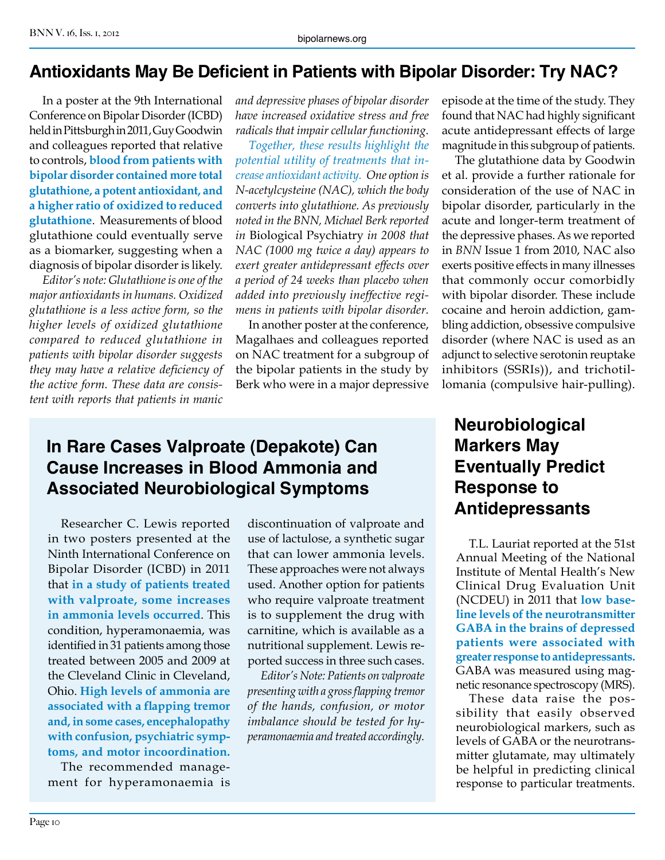#### **Antioxidants May Be Deficient in Patients with Bipolar Disorder: Try NAC?**

In a poster at the 9th International Conference on Bipolar Disorder (ICBD) held in Pittsburgh in 2011, Guy Goodwin and colleagues reported that relative to controls, **blood from patients with bipolar disorder contained more total glutathione, a potent antioxidant, and a higher ratio of oxidized to reduced glutathione**. Measurements of blood glutathione could eventually serve as a biomarker, suggesting when a diagnosis of bipolar disorder is likely.

*Editor's note: Glutathione is one of the major antioxidants in humans. Oxidized glutathione is a less active form, so the higher levels of oxidized glutathione compared to reduced glutathione in patients with bipolar disorder suggests they may have a relative deficiency of the active form. These data are consistent with reports that patients in manic* 

*and depressive phases of bipolar disorder have increased oxidative stress and free radicals that impair cellular functioning.*

*Together, these results highlight the potential utility of treatments that increase antioxidant activity. One option is N-acetylcysteine (NAC), which the body converts into glutathione. As previously noted in the BNN, Michael Berk reported in* Biological Psychiatry *in 2008 that NAC (1000 mg twice a day) appears to exert greater antidepressant effects over a period of 24 weeks than placebo when added into previously ineffective regimens in patients with bipolar disorder.*

In another poster at the conference, Magalhaes and colleagues reported on NAC treatment for a subgroup of the bipolar patients in the study by Berk who were in a major depressive

# **In Rare Cases Valproate (Depakote) Can Cause Increases in Blood Ammonia and Associated Neurobiological Symptoms**

Researcher C. Lewis reported in two posters presented at the Ninth International Conference on Bipolar Disorder (ICBD) in 2011 that **in a study of patients treated with valproate, some increases in ammonia levels occurred**. This condition, hyperamonaemia, was identified in 31 patients among those treated between 2005 and 2009 at the Cleveland Clinic in Cleveland, Ohio. **High levels of ammonia are associated with a flapping tremor and, in some cases, encephalopathy with confusion, psychiatric symptoms, and motor incoordination.**

The recommended management for hyperamonaemia is

discontinuation of valproate and use of lactulose, a synthetic sugar that can lower ammonia levels. These approaches were not always used. Another option for patients who require valproate treatment is to supplement the drug with carnitine, which is available as a nutritional supplement. Lewis reported success in three such cases.

*Editor's Note: Patients on valproate presenting with a gross flapping tremor of the hands, confusion, or motor imbalance should be tested for hyperamonaemia and treated accordingly.*

episode at the time of the study. They found that NAC had highly significant acute antidepressant effects of large magnitude in this subgroup of patients.

The glutathione data by Goodwin et al. provide a further rationale for consideration of the use of NAC in bipolar disorder, particularly in the acute and longer-term treatment of the depressive phases. As we reported in *BNN* Issue 1 from 2010, NAC also exerts positive effects in many illnesses that commonly occur comorbidly with bipolar disorder. These include cocaine and heroin addiction, gambling addiction, obsessive compulsive disorder (where NAC is used as an adjunct to selective serotonin reuptake inhibitors (SSRIs)), and trichotillomania (compulsive hair-pulling).

# **Neurobiological Markers May Eventually Predict Response to Antidepressants**

T.L. Lauriat reported at the 51st Annual Meeting of the National Institute of Mental Health's New Clinical Drug Evaluation Unit (NCDEU) in 2011 that **low baseline levels of the neurotransmitter GABA in the brains of depressed patients were associated with greater response to antidepressants.**  GABA was measured using magnetic resonance spectroscopy (MRS).

These data raise the possibility that easily observed neurobiological markers, such as levels of GABA or the neurotransmitter glutamate, may ultimately be helpful in predicting clinical response to particular treatments.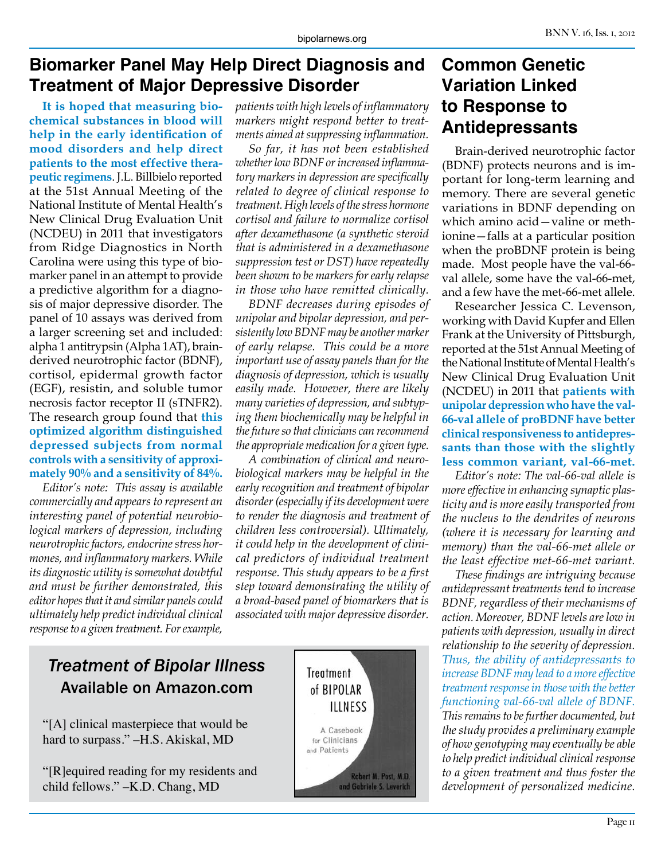# **Biomarker Panel May Help Direct Diagnosis and Treatment of Major Depressive Disorder**

**It is hoped that measuring biochemical substances in blood will help in the early identification of mood disorders and help direct patients to the most effective therapeutic regimens**. J.L. Billbielo reported at the 51st Annual Meeting of the National Institute of Mental Health's New Clinical Drug Evaluation Unit (NCDEU) in 2011 that investigators from Ridge Diagnostics in North Carolina were using this type of biomarker panel in an attempt to provide a predictive algorithm for a diagnosis of major depressive disorder. The panel of 10 assays was derived from a larger screening set and included: alpha 1 antitrypsin (Alpha 1AT), brainderived neurotrophic factor (BDNF), cortisol, epidermal growth factor (EGF), resistin, and soluble tumor necrosis factor receptor II (sTNFR2). The research group found that **this optimized algorithm distinguished depressed subjects from normal controls with a sensitivity of approximately 90% and a sensitivity of 84%.** 

*Editor's note: This assay is available commercially and appears to represent an interesting panel of potential neurobiological markers of depression, including neurotrophic factors, endocrine stress hormones, and inflammatory markers. While its diagnostic utility is somewhat doubtful and must be further demonstrated, this editor hopes that it and similar panels could ultimately help predict individual clinical response to a given treatment. For example,* 

*patients with high levels of inflammatory markers might respond better to treatments aimed at suppressing inflammation.*

*So far, it has not been established whether low BDNF or increased inflammatory markers in depression are specifically related to degree of clinical response to treatment. High levels of the stress hormone cortisol and failure to normalize cortisol after dexamethasone (a synthetic steroid that is administered in a dexamethasone suppression test or DST) have repeatedly been shown to be markers for early relapse in those who have remitted clinically.*

*BDNF decreases during episodes of unipolar and bipolar depression, and persistently low BDNF may be another marker of early relapse. This could be a more important use of assay panels than for the diagnosis of depression, which is usually easily made. However, there are likely many varieties of depression, and subtyping them biochemically may be helpful in the future so that clinicians can recommend the appropriate medication for a given type.*

*A combination of clinical and neurobiological markers may be helpful in the early recognition and treatment of bipolar disorder (especially if its development were to render the diagnosis and treatment of children less controversial). Ultimately, it could help in the development of clinical predictors of individual treatment response. This study appears to be a first step toward demonstrating the utility of a broad-based panel of biomarkers that is associated with major depressive disorder.*

# *Treatment of Bipolar Illness* Available on Amazon.com

"[A] clinical masterpiece that would be hard to surpass." –H.S. Akiskal, MD

"[R]equired reading for my residents and child fellows." –K.D. Chang, MD



# **Common Genetic Variation Linked to Response to Antidepressants**

Brain-derived neurotrophic factor (BDNF) protects neurons and is important for long-term learning and memory. There are several genetic variations in BDNF depending on which amino acid—valine or methionine—falls at a particular position when the proBDNF protein is being made. Most people have the val-66 val allele, some have the val-66-met, and a few have the met-66-met allele.

Researcher Jessica C. Levenson, working with David Kupfer and Ellen Frank at the University of Pittsburgh, reported at the 51st Annual Meeting of the National Institute of Mental Health's New Clinical Drug Evaluation Unit (NCDEU) in 2011 that **patients with unipolar depression who have the val-66-val allele of proBDNF have better clinical responsiveness to antidepressants than those with the slightly less common variant, val-66-met.**

*Editor's note: The val-66-val allele is more effective in enhancing synaptic plasticity and is more easily transported from the nucleus to the dendrites of neurons (where it is necessary for learning and memory) than the val-66-met allele or the least effective met-66-met variant.*

*These findings are intriguing because antidepressant treatments tend to increase BDNF, regardless of their mechanisms of action. Moreover, BDNF levels are low in patients with depression, usually in direct relationship to the severity of depression. Thus, the ability of antidepressants to increase BDNF may lead to a more effective treatment response in those with the better functioning val-66-val allele of BDNF. This remains to be further documented, but the study provides a preliminary example of how genotyping may eventually be able to help predict individual clinical response to a given treatment and thus foster the development of personalized medicine.*